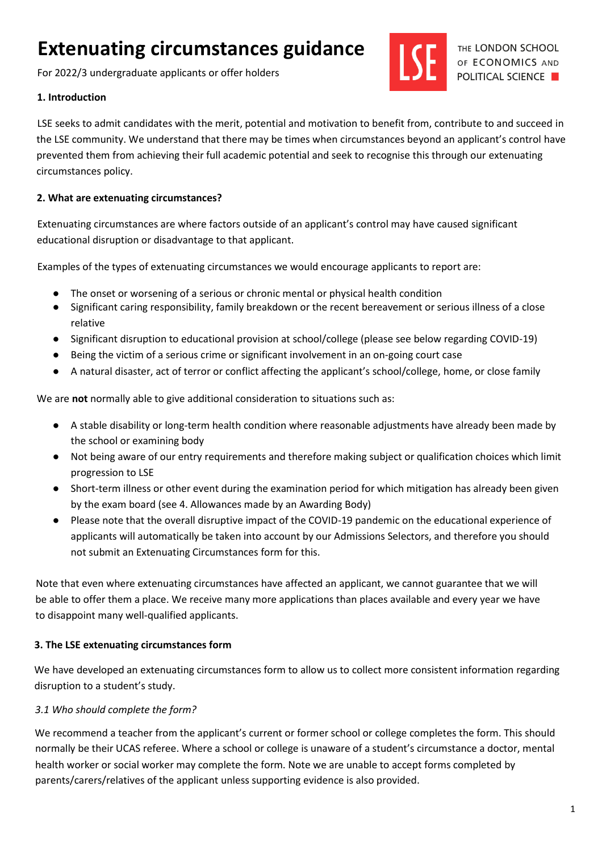# **Extenuating circumstances guidance**

For 2022/3 undergraduate applicants or offer holders

#### **1. Introduction**

LSE seeks to admit candidates with the merit, potential and motivation to benefit from, contribute to and succeed in the LSE community. We understand that there may be times when circumstances beyond an applicant's control have prevented them from achieving their full academic potential and seek to recognise this through our extenuating circumstances policy.

#### **2. What are extenuating circumstances?**

Extenuating circumstances are where factors outside of an applicant's control may have caused significant educational disruption or disadvantage to that applicant.

Examples of the types of extenuating circumstances we would encourage applicants to report are:

- The onset or worsening of a serious or chronic mental or physical health condition
- Significant caring responsibility, family breakdown or the recent bereavement or serious illness of a close relative
- Significant disruption to educational provision at school/college (please see below regarding COVID-19)
- Being the victim of a serious crime or significant involvement in an on-going court case
- A natural disaster, act of terror or conflict affecting the applicant's school/college, home, or close family

We are **not** normally able to give additional consideration to situations such as:

- A stable disability or long-term health condition where reasonable adjustments have already been made by the school or examining body
- Not being aware of our entry requirements and therefore making subject or qualification choices which limit progression to LSE
- Short-term illness or other event during the examination period for which mitigation has already been given by the exam board (see 4. Allowances made by an Awarding Body)
- Please note that the overall disruptive impact of the COVID-19 pandemic on the educational experience of applicants will automatically be taken into account by our Admissions Selectors, and therefore you should not submit an Extenuating Circumstances form for this.

Note that even where extenuating circumstances have affected an applicant, we cannot guarantee that we will be able to offer them a place. We receive many more applications than places available and every year we have to disappoint many well-qualified applicants.

#### **3. The LSE extenuating circumstances form**

We have developed an extenuating circumstances form to allow us to collect more consistent information regarding disruption to a student's study.

# *3.1 Who should complete the form?*

We recommend a teacher from the applicant's current or former school or college completes the form. This should normally be their UCAS referee. Where a school or college is unaware of a student's circumstance a doctor, mental health worker or social worker may complete the form. Note we are unable to accept forms completed by parents/carers/relatives of the applicant unless supporting evidence is also provided.